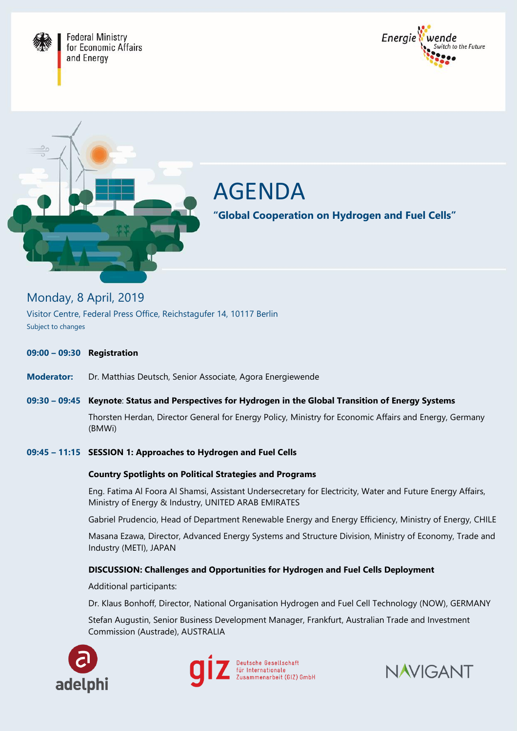





# AGENDA

**"Global Cooperation on Hydrogen and Fuel Cells"** 

## Monday, 8 April, 2019

Subject to changes Visitor Centre, Federal Press Office, Reichstagufer 14, 10117 Berlin

#### **10:00 – 11:30** Lorem ipsum dolor sit amet, consectetuer **09:00 – 09:30 Registration**  adipiscing elit. Aenean commodo ligula eget

Dr. Mottbiac Doutsch, Conior Accocia **Moderator:** Dr. Matthias Deutsch, Senior Associate, Agora Energiewende

#### **Location:** Lorem ipsum dolor sit amet **10:30 – 11:30** Lorem ipsum dolor sit amet, consectetuer  $\binom{P_{i}A_{i}}{P_{i}}$ **09:30 – 09:45 Keynote**: **Status and Perspectives for Hydrogen in the Global Transition of Energy Systems** Thorsten Herdan, Director General for Energy Policy, Ministry for Economic Affairs and Energy, Germany (BMWi)

#### penatibus et magnis dis parturient. 09:45 – 11:15 **SESSION 1: Approaches to Hydrogen and Fuel Cells**

 $\mathcal{L}$ 

## **13:30 – 14:00** Lorem ipsum dolor sit amet, consectetuer **Country Spotlights on Political Strategies and Programs**

Eng. Fatima Al Foora Al Shamsi, Assistant Undersecretary for Electricity, Water and Future Energy Affairs, Ministry of Energy & Industry, UNITED ARAB EMIRATES penatibus et magnis dis parturient.

Gabriel Prudencio, Head of Department Renewable Energy and Energy Efficiency, Ministry of Energy, CHILE

**14:30 – 16:00** Lorem ipsum dolor sit amet, consectetuer Industry (METI), JAPAN Masana Ezawa, Director, Advanced Energy Systems and Structure Division, Ministry of Economy, Trade and

#### DISCUSSION: Challenges and One **DISCUSSION: Challenges and Opportunities for Hydrogen and Fuel Cells Deployment**

Additional participants:

Dr. Klaus Bonhoff, Director, National Organisation Hydrogen and Fuel Cell Technology (NOW), GERMANY

Stefan Augustin, Senior Business Development Manager, Frankfurt, Australian Trade and Investment Commission (Austrade), AUSTRALIA